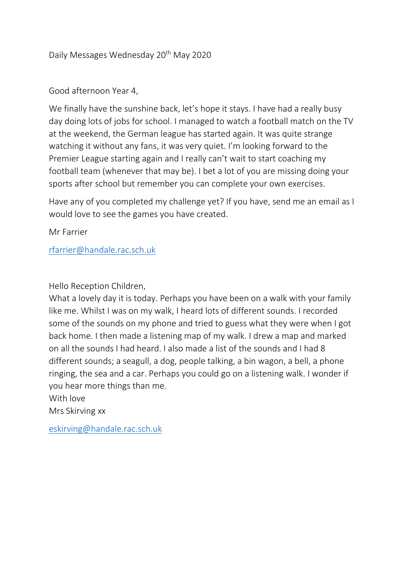# Daily Messages Wednesday 20<sup>th</sup> May 2020

## Good afternoon Year 4,

We finally have the sunshine back, let's hope it stays. I have had a really busy day doing lots of jobs for school. I managed to watch a football match on the TV at the weekend, the German league has started again. It was quite strange watching it without any fans, it was very quiet. I'm looking forward to the Premier League starting again and I really can't wait to start coaching my football team (whenever that may be). I bet a lot of you are missing doing your sports after school but remember you can complete your own exercises.

Have any of you completed my challenge yet? If you have, send me an email as I would love to see the games you have created.

Mr Farrier

### [rfarrier@handale.rac.sch.uk](mailto:rfarrier@handale.rac.sch.uk)

#### Hello Reception Children,

What a lovely day it is today. Perhaps you have been on a walk with your family like me. Whilst I was on my walk, I heard lots of different sounds. I recorded some of the sounds on my phone and tried to guess what they were when I got back home. I then made a listening map of my walk. I drew a map and marked on all the sounds I had heard. I also made a list of the sounds and I had 8 different sounds; a seagull, a dog, people talking, a bin wagon, a bell, a phone ringing, the sea and a car. Perhaps you could go on a listening walk. I wonder if you hear more things than me.

With love

Mrs Skirving xx

[eskirving@handale.rac.sch.uk](mailto:eskirving@handale.rac.sch.uk)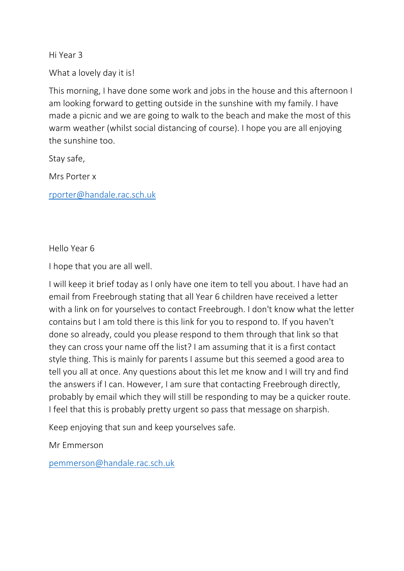Hi Year 3

What a lovely day it is!

This morning, I have done some work and jobs in the house and this afternoon I am looking forward to getting outside in the sunshine with my family. I have made a picnic and we are going to walk to the beach and make the most of this warm weather (whilst social distancing of course). I hope you are all enjoying the sunshine too.

Stay safe,

Mrs Porter x

[rporter@handale.rac.sch.uk](mailto:rporter@handale.rac.sch.uk)

Hello Year 6

I hope that you are all well.

I will keep it brief today as I only have one item to tell you about. I have had an email from Freebrough stating that all Year 6 children have received a letter with a link on for yourselves to contact Freebrough. I don't know what the letter contains but I am told there is this link for you to respond to. If you haven't done so already, could you please respond to them through that link so that they can cross your name off the list? I am assuming that it is a first contact style thing. This is mainly for parents I assume but this seemed a good area to tell you all at once. Any questions about this let me know and I will try and find the answers if I can. However, I am sure that contacting Freebrough directly, probably by email which they will still be responding to may be a quicker route. I feel that this is probably pretty urgent so pass that message on sharpish.

Keep enjoying that sun and keep yourselves safe.

Mr Emmerson

[pemmerson@handale.rac.sch.uk](mailto:pemmerson@handale.rac.sch.uk)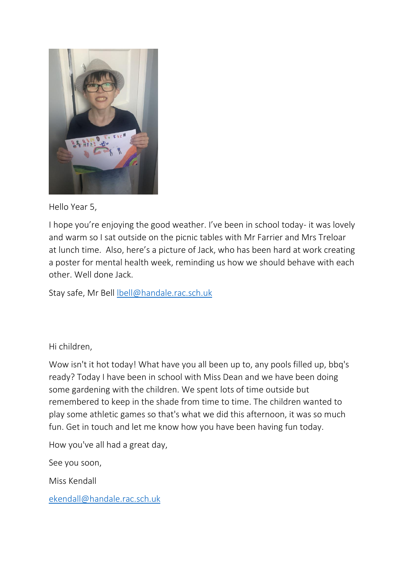

## Hello Year 5,

I hope you're enjoying the good weather. I've been in school today- it was lovely and warm so I sat outside on the picnic tables with Mr Farrier and Mrs Treloar at lunch time. Also, here's a picture of Jack, who has been hard at work creating a poster for mental health week, reminding us how we should behave with each other. Well done Jack.

Stay safe, Mr Bell [lbell@handale.rac.sch.uk](mailto:lbell@handale.rac.sch.uk)

# Hi children,

Wow isn't it hot today! What have you all been up to, any pools filled up, bbq's ready? Today I have been in school with Miss Dean and we have been doing some gardening with the children. We spent lots of time outside but remembered to keep in the shade from time to time. The children wanted to play some athletic games so that's what we did this afternoon, it was so much fun. Get in touch and let me know how you have been having fun today.

How you've all had a great day,

See you soon,

Miss Kendall

[ekendall@handale.rac.sch.uk](mailto:ekendall@handale.rac.sch.uk)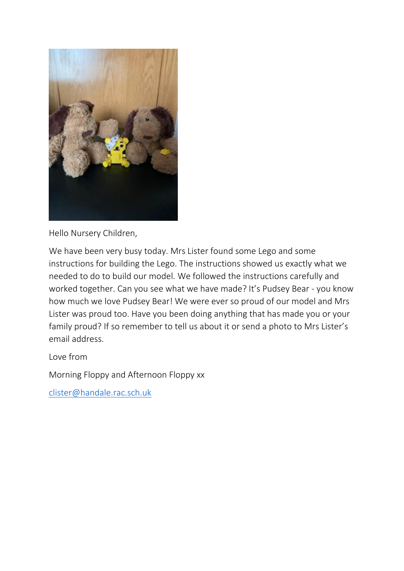

Hello Nursery Children,

We have been very busy today. Mrs Lister found some Lego and some instructions for building the Lego. The instructions showed us exactly what we needed to do to build our model. We followed the instructions carefully and worked together. Can you see what we have made? It's Pudsey Bear - you know how much we love Pudsey Bear! We were ever so proud of our model and Mrs Lister was proud too. Have you been doing anything that has made you or your family proud? If so remember to tell us about it or send a photo to Mrs Lister's email address.

Love from

Morning Floppy and Afternoon Floppy xx

[clister@handale.rac.sch.uk](mailto:clister@handale.rac.sch.uk)